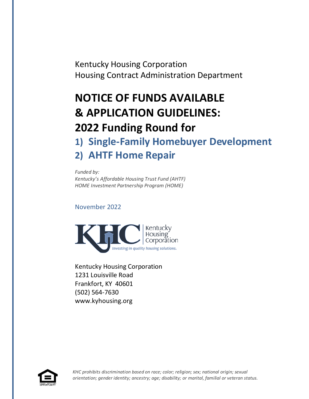Kentucky Housing Corporation Housing Contract Administration Department

# **NOTICE OF FUNDS AVAILABLE & APPLICATION GUIDELINES: 2022 Funding Round for 1) Single-Family Homebuyer Development**

# **2) AHTF Home Repair**

*Funded by: Kentucky's Affordable Housing Trust Fund (AHTF) HOME Investment Partnership Program (HOME)*

November 2022



Kentucky Housing Corporation 1231 Louisville Road Frankfort, KY 40601 (502) 564-7630 www.kyhousing.org

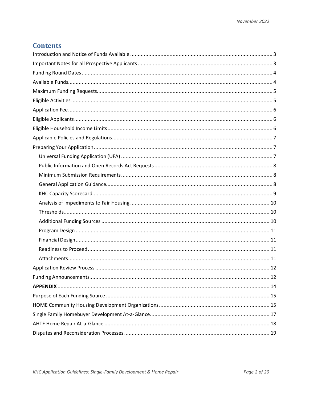## **Contents**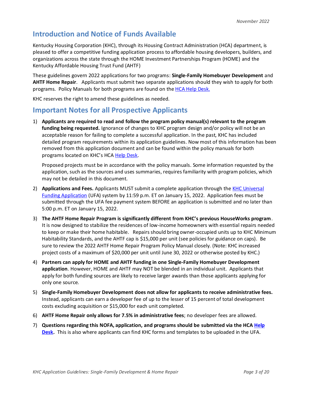# <span id="page-2-0"></span>**Introduction and Notice of Funds Available**

Kentucky Housing Corporation (KHC), through its Housing Contract Administration (HCA) department, is pleased to offer a competitive funding application process to affordable housing developers, builders, and organizations across the state through the HOME Investment Partnerships Program (HOME) and the Kentucky Affordable Housing Trust Fund (AHTF)

These guidelines govern 2022 applications for two programs: **Single-Family Homebuyer Development** and **AHTF Home Repair**. Applicants must submit two separate applications should they wish to apply for both programs. Policy Manuals for both programs are found on the **HCA Help Desk.** 

KHC reserves the right to amend these guidelines as needed.

### <span id="page-2-1"></span>**Important Notes for all Prospective Applicants**

1) **Applicants are required to read and follow the program policy manual(s) relevant to the program funding being requested.** Ignorance of changes to KHC program design and/or policy will not be an acceptable reason for failing to complete a successful application. In the past, KHC has included detailed program requirements within its application guidelines. Now most of this information has been removed from this application document and can be found within the policy manuals for both programs located on KHC's HCA [Help Desk.](https://kyhmis.zendesk.com/hc/en-us)

Proposed projects must be in accordance with the policy manuals. Some information requested by the application, such as the sources and uses summaries, requires familiarity with program policies, which may not be detailed in this document.

- 2) **Applications and Fees.** Applicants MUST submit a complete application through the **KHC Universal** [Funding Application](https://wapps.kyhousing.org/UFA/User/Login) (UFA) system by 11:59 p.m. ET on January 15, 2022. Application fees must be submitted through the UFA fee payment system BEFORE an application is submitted and no later than 5:00 p.m. ET on January 15, 2022.
- 3) **The AHTF Home Repair Program is significantly different from KHC's previous HouseWorks program**. It is now designed to stabilize the residences of low-income homeowners with essential repairs needed to keep or make their home habitable. Repairs should bring owner-occupied units up to KHC Minimum Habitability Standards, and the AHTF cap is \$15,000 per unit (see policies for guidance on caps). Be sure to review the 2022 AHTF Home Repair Program Policy Manual closely. (Note: KHC increased project costs of a maximum of \$20,000 per unit until June 30, 2022 or otherwise posted by KHC.)
- 4) **Partners can apply for HOME and AHTF funding in one Single-Family Homebuyer Development application**. However, HOME and AHTF may NOT be blended in an individual unit. Applicants that apply for both funding sources are likely to receive larger awards than those applicants applying for only one source.
- 5) **Single-Family Homebuyer Development does not allow for applicants to receive administrative fees.** Instead, applicants can earn a developer fee of up to the lesser of 15 percent of total development costs excluding acquisition or \$15,000 for each unit completed.
- 6) **AHTF Home Repair only allows for 7.5% in administrative fees**; no developer fees are allowed.
- 7) **Questions regarding this NOFA, application, and programs should be submitted via the HC[A Help](https://kyhmis.zendesk.com/hc/en-us)  [Desk.](https://kyhmis.zendesk.com/hc/en-us)** This is also where applicants can find KHC forms and templates to be uploaded in the UFA.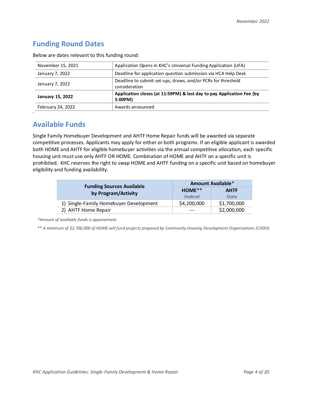# <span id="page-3-0"></span>**Funding Round Dates**

| November 15, 2021                                                                                    | Application Opens in KHC's Universal Funding Application (UFA)                |
|------------------------------------------------------------------------------------------------------|-------------------------------------------------------------------------------|
| January 7, 2022                                                                                      | Deadline for application question submission via HCA Help Desk                |
| January 7, 2022                                                                                      | Deadline to submit set-ups, draws, and/or PCRs for threshold<br>consideration |
| Application closes (at 11:59PM) & last day to pay Application Fee (by<br>January 15, 2022<br>5:00PM) |                                                                               |
| February 24, 2022                                                                                    | Awards announced                                                              |

Below are dates relevant to this funding round:

# <span id="page-3-1"></span>**Available Funds**

**'**

Single Family Homebuyer Development and AHTF Home Repair funds will be awarded via separate competitive processes. Applicants may apply for either or both programs. If an eligible applicant is awarded both HOME and AHTF for eligible homebuyer activities via the annual competitive allocation, each specific housing unit must use only AHTF OR HOME. Combination of HOME and AHTF on a specific unit is prohibited. KHC reserves the right to swap HOME and AHTF funding on a specific unit based on homebuyer eligibility and funding availability.

| <b>Funding Sources Available</b>       | <b>Amount Available*</b> |              |
|----------------------------------------|--------------------------|--------------|
| by Program/Activity                    | $HOME**$                 | <b>AHTF</b>  |
|                                        | Federal                  | <b>State</b> |
| 1) Single-Family Homebuyer Development | \$4,200,000              | \$1,700,000  |
| 2) AHTF Home Repair                    | ---                      | \$2,000,000  |

*\*Amount of available funds is approximate.*

*\*\* A minimum of \$2,700,000 of HOME will fund projects proposed by Community Housing Development Organizations (CHDO).*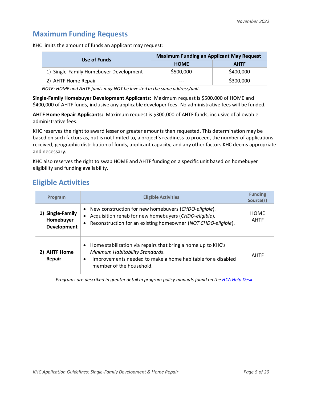## <span id="page-4-0"></span>**Maximum Funding Requests**

KHC limits the amount of funds an applicant may request:

| Use of Funds                           | <b>Maximum Funding an Applicant May Request</b> |             |
|----------------------------------------|-------------------------------------------------|-------------|
|                                        | <b>HOME</b>                                     | <b>AHTF</b> |
| 1) Single-Family Homebuyer Development | \$500,000                                       | \$400,000   |
| 2) AHTF Home Repair                    | ---                                             | \$300,000   |

*NOTE: HOME and AHTF funds may NOT be invested in the same address/unit.* 

**Single-Family Homebuyer Development Applicants:** Maximum request is \$500,000 of HOME and \$400,000 of AHTF funds, inclusive any applicable developer fees. No administrative fees will be funded.

**AHTF Home Repair Applicants:** Maximum request is \$300,000 of AHTF funds, inclusive of allowable administrative fees.

KHC reserves the right to award lesser or greater amounts than requested. This determination may be based on such factors as, but is not limited to, a project's readiness to proceed, the number of applications received, geographic distribution of funds, applicant capacity, and any other factors KHC deems appropriate and necessary.

KHC also reserves the right to swap HOME and AHTF funding on a specific unit based on homebuyer eligibility and funding availability.

## <span id="page-4-1"></span>**Eligible Activities**

| Program                                             | <b>Eligible Activities</b>                                                                                                                                                                                            | <b>Funding</b><br>Source(s) |
|-----------------------------------------------------|-----------------------------------------------------------------------------------------------------------------------------------------------------------------------------------------------------------------------|-----------------------------|
| 1) Single-Family<br>Homebuyer<br><b>Development</b> | New construction for new homebuyers (CHDO-eligible).<br>$\bullet$<br>Acquisition rehab for new homebuyers (CHDO-eligible).<br>$\bullet$<br>Reconstruction for an existing homeowner (NOT CHDO-eligible).<br>$\bullet$ |                             |
| 2) AHTF Home<br>Repair                              | • Home stabilization via repairs that bring a home up to KHC's<br>Minimum Habitability Standards.<br>Improvements needed to make a home habitable for a disabled<br>$\bullet$<br>member of the household.             | AHTF                        |

*Programs are described in greater detail in program policy manuals found on th[e HCA Help Desk.](https://kyhmis.zendesk.com/)*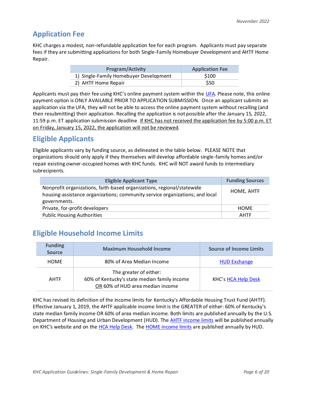# <span id="page-5-0"></span>**Application Fee**

KHC charges a modest, non-refundable application fee for each program. Applicants must pay separate fees if they are submitting applications for both Single-Family Homebuyer Development and AHTF Home Repair.

| <b>Program/Activity</b>                | <b>Application Fee</b> |
|----------------------------------------|------------------------|
| 1) Single-Family Homebuyer Development | \$100                  |
| 2) AHTF Home Repair                    | \$50                   |

Applicants must pay their fee using KHC's online payment system within the [UFA.](https://wapps.kyhousing.org/UFA/User/Login) Please note, this online payment option is ONLY AVAILABLE PRIOR TO APPLICATION SUBMISSION. Once an applicant submits an application via the UFA, they will not be able to access the online payment system without recalling (and then resubmitting) their application. Recalling the application is not possible after the January 15, 2022, 11:59 p.m. ET application submission deadline. If KHC has not received the application fee by 5:00 p.m. ET on Friday, January 15, 2022, the application will not be reviewed.

# <span id="page-5-1"></span>**Eligible Applicants**

Eligible applicants vary by funding source, as delineated in the table below. PLEASE NOTE that organizations should only apply if they themselves will develop affordable single-family homes and/or repair existing owner-occupied homes with KHC funds. KHC will NOT award funds to intermediary subrecipients.

| <b>Eligible Applicant Type</b>                                                                                                                                         | <b>Funding Sources</b> |
|------------------------------------------------------------------------------------------------------------------------------------------------------------------------|------------------------|
| Nonprofit organizations, faith-based organizations, regional/statewide<br>housing-assistance organizations; community service organizations; and local<br>governments. | HOME, AHTF             |
| Private, for-profit developers                                                                                                                                         | HOME                   |
| <b>Public Housing Authorities</b>                                                                                                                                      | <b>AHTF</b>            |

# <span id="page-5-2"></span>**Eligible Household Income Limits**

| <b>Funding</b><br><b>Source</b> | <b>Maximum Household Income</b>                                                                            | <b>Source of Income Limits</b> |
|---------------------------------|------------------------------------------------------------------------------------------------------------|--------------------------------|
| <b>HOME</b>                     | 80% of Area Median Income                                                                                  | <b>HUD Exchange</b>            |
| <b>AHTF</b>                     | The greater of either:<br>60% of Kentucky's state median family income<br>OR 60% of HUD area median income | KHC's HCA Help Desk            |

KHC has revised its definition of the income limits for Kentucky's Affordable Housing Trust Fund (AHTF). Effective January 1, 2019, the AHTF applicable income limit is the GREATER of either: 60% of Kentucky's state median family income OR 60% of area median income. Both limits are published annually by the U.S. Department of Housing and Urban Development (HUD). The **AHTF** income limits will be published annually on KHC's website and on the [HCA Help Desk.](https://na01.safelinks.protection.outlook.com/?url=http%3A%2F%2Fr20.rs6.net%2Ftn.jsp%3Ft%3Dk4mimk5ab.0.0.5ldgmkdab.0%26id%3Dpreview%26r%3D3%26p%3Dhttps%253A%252F%252Fkyhmis.zendesk.com%252Fhc%252Fen-us&data=02%7C01%7Csnesselrode%40kyhousing.org%7Cffec721d89414cf310a708d686f3c2b6%7Caea041267f1a46ed81fd06f9287a4399%7C0%7C0%7C636844778854444192&sdata=AV2a%2BiTSSrBzDBOpSFDysZXZozetKTtTFeN66HUWVjQ%3D&reserved=0) Th[e HOME income limits](https://www.hudexchange.info/programs/home/home-income-limits/) are published annually by HUD.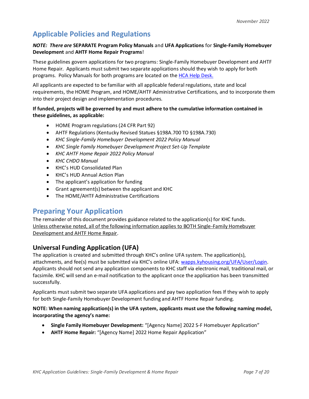# <span id="page-6-0"></span>**Applicable Policies and Regulations**

#### *NOTE: There are* **SEPARATE Program Policy Manuals** and **UFA Applications** for **Single-Family Homebuyer Development** and **AHTF Home Repair Programs**!

These guidelines govern applications for two programs: Single-Family Homebuyer Development and AHTF Home Repair. Applicants must submit two separate applications should they wish to apply for both programs. Policy Manuals for both programs are located on th[e HCA Help Desk.](https://kyhmis.zendesk.com/)

All applicants are expected to be familiar with all applicable federal regulations, state and local requirements, the HOME Program, and HOME/AHTF Administrative Certifications, and to incorporate them into their project design and implementation procedures.

#### **If funded, projects will be governed by and must adhere to the cumulative information contained in these guidelines, as applicable:**

- HOME Program regulations (24 CFR Part 92)
- AHTF Regulations (Kentucky Revised Statues §198A.700 TO §198A.730)
- *KHC Single-Family Homebuyer Development 2022 Policy Manual*
- *KHC Single Family Homebuyer Development Project Set-Up Template*
- *KHC AHTF Home Repair 2022 Policy Manual*
- *KHC CHDO Manual*
- KHC's HUD Consolidated Plan
- KHC's HUD Annual Action Plan
- The applicant's application for funding
- Grant agreement(s) between the applicant and KHC
- The HOME/AHTF Administrative Certifications

### <span id="page-6-1"></span>**Preparing Your Application**

The remainder of this document provides guidance related to the application(s) for KHC funds. Unless otherwise noted, all of the following information applies to BOTH Single-Family Homebuyer Development and AHTF Home Repair.

### <span id="page-6-2"></span>**Universal Funding Application (UFA)**

The application is created and submitted through KHC's online UFA system. The application(s), attachments, and fee(s) must be submitted via KHC's online UFA: [wapps.kyhousing.org/UFA/User/Login.](https://wapps.kyhousing.org/UFA/User/Login) Applicants should not send any application components to KHC staff via electronic mail, traditional mail, or facsimile. KHC will send an e-mail notification to the applicant once the application has been transmitted successfully.

Applicants must submit two separate UFA applications and pay two application fees If they wish to apply for both Single-Family Homebuyer Development funding and AHTF Home Repair funding.

#### **NOTE: When naming application(s) in the UFA system, applicants must use the following naming model, incorporating the agency's name:**

- **Single Family Homebuyer Development:** "[Agency Name] 2022 S-F Homebuyer Application"
- **AHTF Home Repair:** "[Agency Name] 2022 Home Repair Application"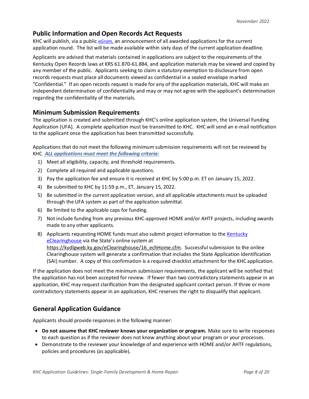#### <span id="page-7-0"></span>**Public Information and Open Records Act Requests**

KHC will publish, via a public *[eGram,](https://visitor.r20.constantcontact.com/manage/optin?v=001nInsvTYVCuBC3pBnUZ82oY_vFyQpOdyCxw0qc_shzeHsWoYTC8Yt_9tvW3SoZT8YHADEMIOvwKTHwk-lxnuZGg%3D%3D)* an announcement of all awarded applications for the current application round. The list will be made available within sixty days of the current application deadline.

Applicants are advised that materials contained in applications are subject to the requirements of the Kentucky Open Records laws at KRS 61.870-61.884, and application materials may be viewed and copied by any member of the public. Applicants seeking to claim a statutory exemption to disclosure from open records requests must place all documents viewed as confidential in a sealed envelope marked "Confidential." If an open records request is made for any of the application materials, KHC will make an independent determination of confidentiality and may or may not agree with the applicant's determination regarding the confidentiality of the materials.

#### <span id="page-7-1"></span>**Minimum Submission Requirements**

The application is created and submitted through KHC's online application system, the Universal Funding Application (UFA). A complete application must be transmitted to KHC. KHC will send an e-mail notification to the applicant once the application has been transmitted successfully.

Applications that do not meet the following minimum submission requirements will not be reviewed by KHC. *ALL applications must meet the following criteria:*

- 1) Meet all eligibility, capacity, and threshold requirements.
- 2) Complete all required and applicable questions.
- 3) Pay the application fee and ensure it is received at KHC by 5:00 p.m. ET on January 15, 2022.
- 4) Be submitted to KHC by 11:59 p.m., ET, January 15, 2022.
- 5) Be submitted in the current application version, and all applicable attachments must be uploaded through the UFA system as part of the application submittal.
- 6) Be limited to the applicable caps for funding.
- 7) Not include funding from any previous KHC-approved HOME and/or AHTF projects, including awards made to any other applicants.
- 8) Applicants requesting HOME funds must also submit project information to the Kentucky [eClearinghouse](https://kydlgweb.ky.gov/eClearinghouse/16_echHome.cfm) via the State's online system at https://kydlgweb.ky.gov/eClearinghouse/16\_echHome.cfm. Successful submission to the online Clearinghouse system will generate a confirmation that includes the State Application Identification (SAI) number. A copy of this confirmation is a required checklist attachment for the KHC application.

If the application does not meet the minimum submission requirements, the applicant will be notified that the application has not been accepted for review. If fewer than two contradictory statements appear in an application, KHC may request clarification from the designated applicant contact person. If three or more contradictory statements appear in an application, KHC reserves the right to disqualify that applicant.

### <span id="page-7-2"></span>**General Application Guidance**

Applicants should provide responses in the following manner:

- **Do not assume that KHC reviewer knows your organization or program.** Make sure to write responses to each question as if the reviewer does not know anything about your program or your processes.
- Demonstrate to the reviewer your knowledge of and experience with HOME and/or AHTF regulations, policies and procedures (as applicable).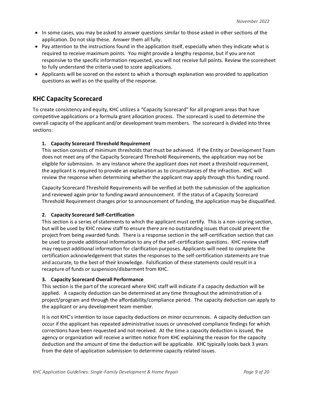- In some cases, you may be asked to answer questions similar to those asked in other sections of the application. Do not skip these. Answer them all fully.
- Pay attention to the instructions found in the application itself, especially when they indicate what is required to receive maximum points. You might provide a lengthy response, but if you are not responsive to the specific information requested, you will not receive full points. Review the scoresheet to fully understand the criteria used to score applications.
- Applicants will be scored on the extent to which a thorough explanation was provided to application questions as well as on the quality of the response.

### <span id="page-8-0"></span>**KHC Capacity Scorecard**

To create consistency and equity, KHC utilizes a "Capacity Scorecard" for all program areas that have competitive applications or a formula grant allocation process. The scorecard is used to determine the overall capacity of the applicant and/or development team members. The scorecard is divided into three sections:

#### **1. Capacity Scorecard Threshold Requirement**

This section consists of minimum thresholds that must be achieved. If the Entity or Development Team does not meet any of the Capacity Scorecard Threshold Requirements, the application may not be eligible for submission. In any instance where the applicant does not meet a threshold requirement, the applicant is required to provide an explanation as to circumstances of the infraction. KHC will review the response when determining whether the applicant may apply through this funding round.

Capacity Scorecard Threshold Requirements will be verified at both the submission of the application and reviewed again prior to funding award announcement. If the status of a Capacity Scorecard Threshold Requirement changes prior to announcement of funding, the application may be disqualified.

#### **2. Capacity Scorecard Self-Certification**

This section is a series of statements to which the applicant must certify. This is a non-scoring section, but will be used by KHC review staff to ensure there are no outstanding issues that could prevent the project from being awarded funds. There is a response section in the self-certification section that can be used to provide additional information to any of the self-certification questions. KHC review staff may request additional information for clarification purposes. Applicants will need to complete the certification acknowledgement that states the responses to the self-certification statements are true and accurate, to the best of their knowledge. Falsification of these statements could result in a recapture of funds or suspension/disbarment from KHC.

#### **3. Capacity Scorecard Overall Performance**

This section is the part of the scorecard where KHC staff will indicate if a capacity deduction will be applied. A capacity deduction can be determined at any time throughout the administration of a project/program and through the affordability/compliance period. The capacity deduction can apply to the applicant or any development team member.

It is not KHC's intention to issue capacity deductions on minor occurrences. A capacity deduction can occur if the applicant has repeated administrative issues or unresolved compliance findings for which corrections have been requested and not received. At the time a capacity deduction is issued, the agency or organization will receive a written notice from KHC explaining the reason for the capacity deduction and the amount of time the deduction will be applicable. KHC typically looks back 3 years from the date of application submission to determine capacity related issues.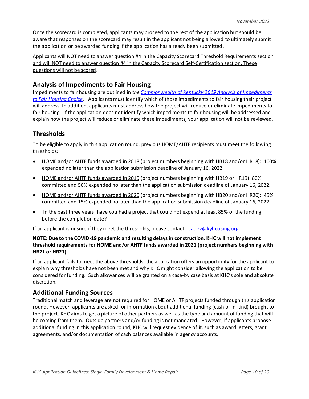Once the scorecard is completed, applicants may proceed to the rest of the application but should be aware that responses on the scorecard may result in the applicant not being allowed to ultimately submit the application or be awarded funding if the application has already been submitted.

Applicants will NOT need to answer question #4 in the Capacity Scorecard Threshold Requirements section and will NOT need to answer question #4 in the Capacity Scorecard Self-Certification section. These questions will not be scored.

### <span id="page-9-0"></span>**Analysis of Impediments to Fair Housing**

Impediments to fair housing are outlined in *the [Commonwealth of Kentucky 2019 Analysis of Impediments](http://www.kyhousing.org/Resources/Planning-Documents/Documents/Kentucky%20Statewide%20AI_04.29.20_FINAL.pdf)  [to Fair Housing Choice.](http://www.kyhousing.org/Resources/Planning-Documents/Documents/Kentucky%20Statewide%20AI_04.29.20_FINAL.pdf)* Applicants must identify which of those impediments to fair housing their project will address. In addition, applicants must address how the project will reduce or eliminate impediments to fair housing. If the application does not identify which impediments to fair housing will be addressed and explain how the project will reduce or eliminate these impediments, your application will not be reviewed.

### <span id="page-9-1"></span>**Thresholds**

To be eligible to apply in this application round, previous HOME/AHTF recipients must meet the following thresholds:

- HOME and/or AHTF funds awarded in 2018 (project numbers beginning with HB18 and/or HR18): 100% expended no later than the application submission deadline of January 16, 2022.
- HOME and/or AHTF funds awarded in 2019 (project numbers beginning with HB19 or HR19): 80% committed and 50% expended no later than the application submission deadline of January 16, 2022.
- HOME and/or AHTF funds awarded in 2020 (project numbers beginning with HB20 and/or HR20): 45% committed and 15% expended no later than the application submission deadline of January 16, 2022.
- In the past three years: have you had a project that could not expend at least 85% of the funding before the completion date?

If an applicant is unsure if they meet the thresholds, please contact  $h$ cadev@kyhousing.org.

#### **NOTE: Due to the COVID-19 pandemic and resulting delays in construction, KHC will not implement threshold requirements for HOME and/or AHTF funds awarded in 2021 (project numbers beginning with HB21 or HR21).**

If an applicant fails to meet the above thresholds, the application offers an opportunity for the applicant to explain why thresholds have not been met and why KHC might consider allowing the application to be considered for funding. Such allowances will be granted on a case-by case basis at KHC's sole and absolute discretion.

#### <span id="page-9-2"></span>**Additional Funding Sources**

Traditional match and leverage are not required for HOME or AHTF projects funded through this application round. However, applicants are asked for information about additional funding (cash or in-kind) brought to the project. KHC aims to get a picture of other partners as well as the type and amount of funding that will be coming from them. Outside partners and/or funding is not mandated. However, if applicants propose additional funding in this application round, KHC will request evidence of it, such as award letters, grant agreements, and/or documentation of cash balances available in agency accounts.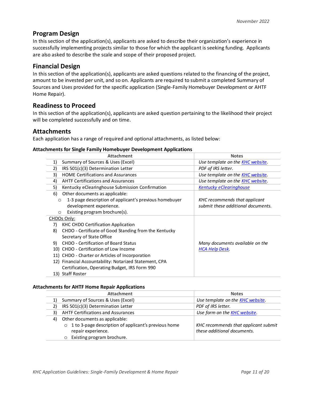#### <span id="page-10-0"></span>**Program Design**

In this section of the application(s), applicants are asked to describe their organization's experience in successfully implementing projects similar to those for which the applicant is seeking funding. Applicants are also asked to describe the scale and scope of their proposed project.

#### <span id="page-10-1"></span>**Financial Design**

In this section of the application(s), applicants are asked questions related to the financing of the project, amount to be invested per unit, and so on. Applicants are required to submit a completed Summary of Sources and Uses provided for the specific application (Single-Family Homebuyer Development or AHTF Home Repair).

#### <span id="page-10-2"></span>**Readiness to Proceed**

In this section of the application(s), applicants are asked question pertaining to the likelihood their project will be completed successfully and on time.

#### <span id="page-10-3"></span>**Attachments**

Each application has a range of required and optional attachments, as listed below:

#### **Attachments for Single Family Homebuyer Development Applications**

| <b>Attachment</b>                                                 | <b>Notes</b>                             |  |
|-------------------------------------------------------------------|------------------------------------------|--|
| Summary of Sources & Uses (Excel)<br>1)                           | Use template on the KHC website.         |  |
| 2)<br>IRS 501(c)(3) Determination Letter                          | PDF of IRS letter.                       |  |
| 3)<br><b>HOME Certifications and Assurances</b>                   | Use template on the <b>KHC website</b> . |  |
| <b>AHTF Certifications and Assurances</b><br>4)                   | Use template on the KHC website.         |  |
| 5)<br>Kentucky eClearinghouse Submission Confirmation             | <b>Kentucky eClearinghouse</b>           |  |
| Other documents as applicable:<br>6)                              |                                          |  |
| 1-3 page description of applicant's previous homebuyer<br>$\circ$ | KHC recommends that applicant            |  |
| development experience.                                           | submit these additional documents.       |  |
| Existing program brochure(s).<br>$\circ$                          |                                          |  |
| CHDOs Only:                                                       |                                          |  |
| KHC CHDO Certification Application<br>7)                          |                                          |  |
| CHDO - Certificate of Good Standing from the Kentucky<br>8)       |                                          |  |
| Secretary of State Office                                         |                                          |  |
| <b>CHDO</b> - Certification of Board Status<br>9)                 | Many documents available on the          |  |
| 10) CHDO - Certification of Low Income                            | <b>HCA Help Desk</b> .                   |  |
| 11) CHDO - Charter or Articles of Incorporation                   |                                          |  |
| 12) Financial Accountability: Notarized Statement, CPA            |                                          |  |
| Certification, Operating Budget, IRS Form 990                     |                                          |  |
| 13) Staff Roster                                                  |                                          |  |

#### **Attachments for AHTF Home Repair Applications**

<span id="page-10-4"></span>

| <b>Attachment</b>                                                                      | <b>Notes</b>                             |  |
|----------------------------------------------------------------------------------------|------------------------------------------|--|
| Summary of Sources & Uses (Excel)                                                      | Use template on the <b>KHC website</b> . |  |
| IRS 501(c)(3) Determination Letter                                                     | PDF of IRS letter.                       |  |
| <b>AHTF Certifications and Assurances</b><br>Use form on the <b>KHC</b> website.<br>3) |                                          |  |
| Other documents as applicable:<br>4)                                                   |                                          |  |
| o 1 to 3-page description of applicant's previous home                                 | KHC recommends that applicant submit     |  |
| repair experience.                                                                     | these additional documents.              |  |
| Existing program brochure.                                                             |                                          |  |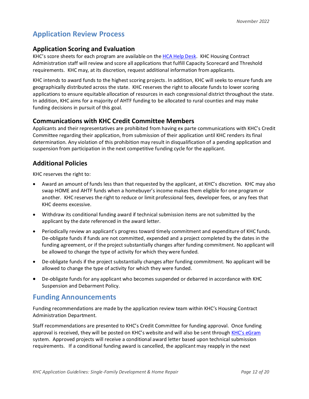# **Application Review Process**

### **Application Scoring and Evaluation**

KHC's score sheets for each program are available on th[e HCA Help Desk.](https://kyhmis.zendesk.com/hc/en-us/articles/360010049253-KHC-HOME-AHTF-ARC-Homebuyer-Set-Up-Packet) KHC Housing Contract Administration staff will review and score all applications that fulfill Capacity Scorecard and Threshold requirements. KHC may, at its discretion, request additional information from applicants.

KHC intends to award funds to the highest scoring projects. In addition, KHC will seeks to ensure funds are geographically distributed across the state. KHC reserves the right to allocate funds to lower scoring applications to ensure equitable allocation of resources in each congressional district throughout the state. In addition, KHC aims for a majority of AHTF funding to be allocated to rural counties and may make funding decisions in pursuit of this goal.

### **Communications with KHC Credit Committee Members**

Applicants and their representatives are prohibited from having ex parte communications with KHC's Credit Committee regarding their application, from submission of their application until KHC renders its final determination. Any violation of this prohibition may result in disqualification of a pending application and suspension from participation in the next competitive funding cycle for the applicant.

### **Additional Policies**

KHC reserves the right to:

- Award an amount of funds less than that requested by the applicant, at KHC's discretion. KHC may also swap HOME and AHTF funds when a homebuyer's income makes them eligible for one program or another. KHC reserves the right to reduce or limit professional fees, developer fees, or any fees that KHC deems excessive.
- Withdraw its conditional funding award if technical submission items are not submitted by the applicant by the date referenced in the award letter.
- Periodically review an applicant's progress toward timely commitment and expenditure of KHC funds. De-obligate funds if funds are not committed, expended and a project completed by the dates in the funding agreement, or if the project substantially changes after funding commitment. No applicant will be allowed to change the type of activity for which they were funded.
- De-obligate funds if the project substantially changes after funding commitment. No applicant will be allowed to change the type of activity for which they were funded.
- De-obligate funds for any applicant who becomes suspended or debarred in accordance with KHC Suspension and Debarment Policy.

### <span id="page-11-0"></span>**Funding Announcements**

Funding recommendations are made by the application review team within KHC's Housing Contract Administration Department.

Staff recommendations are presented to KHC's Credit Committee for funding approval. Once funding approval is received, they will be posted on KHC's website and will also be sent through [KHC's eGram](https://visitor.r20.constantcontact.com/manage/optin?v=001nInsvTYVCuBC3pBnUZ82oY_vFyQpOdyCxw0qc_shzeHsWoYTC8Yt_9tvW3SoZT8YHADEMIOvwKTHwk-lxnuZGg%3D%3D) system. Approved projects will receive a conditional award letter based upon technical submission requirements. If a conditional funding award is cancelled, the applicant may reapply in the next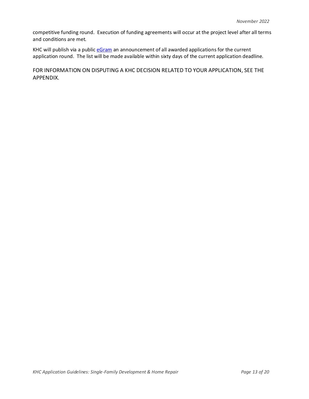competitive funding round. Execution of funding agreements will occur at the project level after all terms and conditions are met.

KHC will publish via a publi[c eGram](https://visitor.r20.constantcontact.com/manage/optin?v=001nInsvTYVCuBC3pBnUZ82oY_vFyQpOdyCxw0qc_shzeHsWoYTC8Yt_9tvW3SoZT8YHADEMIOvwKTHwk-lxnuZGg%3D%3D) an announcement of all awarded applications for the current application round. The list will be made available within sixty days of the current application deadline.

FOR INFORMATION ON DISPUTING A KHC DECISION RELATED TO YOUR APPLICATION, SEE THE APPENDIX.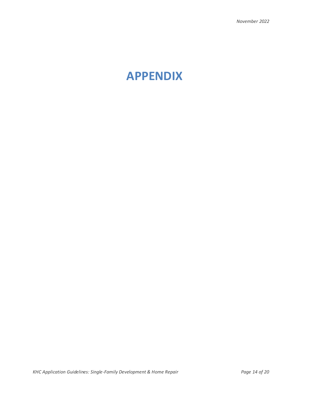# <span id="page-13-0"></span>**APPENDIX**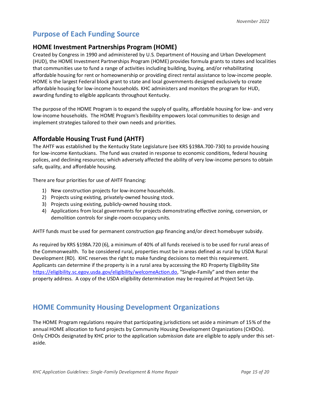# <span id="page-14-0"></span>**Purpose of Each Funding Source**

#### **HOME Investment Partnerships Program (HOME)**

Created by Congress in 1990 and administered by U.S. Department of Housing and Urban Development (HUD), the HOME Investment Partnerships Program (HOME) provides formula grants to states and localities that communities use to fund a range of activities including building, buying, and/or rehabilitating affordable housing for rent or homeownership or providing direct rental assistance to low-income people. HOME is the largest Federal block grant to state and local governments designed exclusively to create affordable housing for low-income households. KHC administers and monitors the program for HUD, awarding funding to eligible applicants throughout Kentucky.

The purpose of the HOME Program is to expand the supply of quality, affordable housing for low- and very low-income households. The HOME Program's flexibility empowers local communities to design and implement strategies tailored to their own needs and priorities.

### **Affordable Housing Trust Fund (AHTF)**

The AHTF was established by the Kentucky State Legislature (see KRS §198A.700-730) to provide housing for low-income Kentuckians. The fund was created in response to economic conditions, federal housing polices, and declining resources; which adversely affected the ability of very low-income persons to obtain safe, quality, and affordable housing.

There are four priorities for use of AHTF financing:

- 1) New construction projects for low-income households.
- 2) Projects using existing, privately-owned housing stock.
- 3) Projects using existing, publicly-owned housing stock.
- 4) Applications from local governments for projects demonstrating effective zoning, conversion, or demolition controls for single-room occupancy units.

AHTF funds must be used for permanent construction gap financing and/or direct homebuyer subsidy.

As required by KRS §198A.720 (6), a minimum of 40% of all funds received is to be used for rural areas of the Commonwealth. To be considered rural, properties must be in areas defined as rural by USDA Rural Development (RD). KHC reserves the right to make funding decisions to meet this requirement. Applicants can determine if the property is in a rural area by accessing the RD Property Eligibility Site <https://eligibility.sc.egov.usda.gov/eligibility/welcomeAction.do>, "Single-Family" and then enter the property address. A copy of the USDA eligibility determination may be required at Project Set-Up.

### <span id="page-14-1"></span>**HOME Community Housing Development Organizations**

The HOME Program regulations require that participating jurisdictions set aside a minimum of 15% of the annual HOME allocation to fund projects by Community Housing Development Organizations (CHDOs). Only CHDOs designated by KHC prior to the application submission date are eligible to apply under this setaside.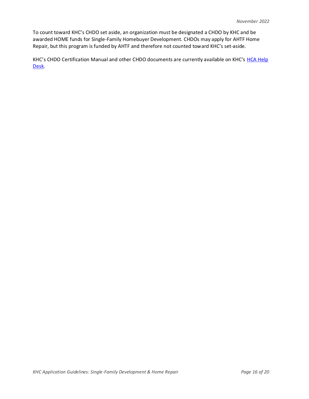To count toward KHC's CHDO set aside, an organization must be designated a CHDO by KHC and be awarded HOME funds for Single-Family Homebuyer Development. CHDOs may apply for AHTF Home Repair, but this program is funded by AHTF and therefore not counted toward KHC's set-aside.

KHC's CHDO Certification Manual and other CHDO documents are currently available on KHC's HCA Help [Desk.](https://kyhmis.zendesk.com/hc/en-us/categories/201872163-HOME-Single-Family)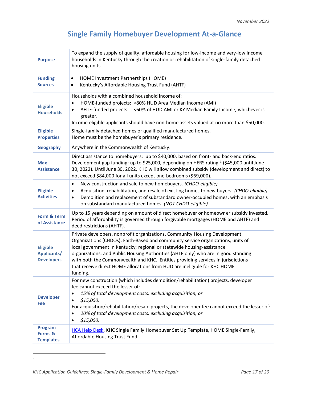# **Single Family Homebuyer Development At-a-Glance**

<span id="page-16-0"></span>

| <b>Purpose</b>                                      | To expand the supply of quality, affordable housing for low-income and very-low income<br>households in Kentucky through the creation or rehabilitation of single-family detached<br>housing units.                                                                                                                                                                                                                                                                                                         |
|-----------------------------------------------------|-------------------------------------------------------------------------------------------------------------------------------------------------------------------------------------------------------------------------------------------------------------------------------------------------------------------------------------------------------------------------------------------------------------------------------------------------------------------------------------------------------------|
| <b>Funding</b><br><b>Sources</b>                    | HOME Investment Partnerships (HOME)<br>$\bullet$<br>Kentucky's Affordable Housing Trust Fund (AHTF)<br>$\bullet$                                                                                                                                                                                                                                                                                                                                                                                            |
| <b>Eligible</b><br><b>Households</b>                | Households with a combined household income of:<br>HOME-funded projects: < 80% HUD Area Median Income (AMI)<br>$\bullet$<br>AHTF-funded projects: <a0% ami="" family="" hud="" income,="" is<br="" ky="" median="" of="" or="" whichever=""><math display="inline">\bullet</math><br/>greater.<br/>Income-eligible applicants should have non-home assets valued at no more than \$50,000.</a0%>                                                                                                            |
| <b>Eligible</b><br><b>Properties</b>                | Single-family detached homes or qualified manufactured homes.<br>Home must be the homebuyer's primary residence.                                                                                                                                                                                                                                                                                                                                                                                            |
| <b>Geography</b>                                    | Anywhere in the Commonwealth of Kentucky.                                                                                                                                                                                                                                                                                                                                                                                                                                                                   |
| <b>Max</b><br><b>Assistance</b>                     | Direct assistance to homebuyers: up to \$40,000, based on front- and back-end ratios.<br>Development gap funding: up to \$25,000, depending on HERS rating. <sup>1</sup> (\$45,000 until June<br>30, 2022). Until June 30, 2022, KHC will allow combined subsidy (development and direct) to<br>not exceed \$84,000 for all units except one-bedrooms (\$69,000).                                                                                                                                           |
| <b>Eligible</b><br><b>Activities</b>                | New construction and sale to new homebuyers. (CHDO-eligible)<br>$\bullet$<br>Acquisition, rehabilitation, and resale of existing homes to new buyers. (CHDO-eligible)<br>$\bullet$<br>Demolition and replacement of substandard owner-occupied homes, with an emphasis<br>$\bullet$<br>on substandard manufactured homes. (NOT CHDO-eligible)                                                                                                                                                               |
| Form & Term<br>of Assistance                        | Up to 15 years depending on amount of direct homebuyer or homeowner subsidy invested.<br>Period of affordability is governed through forgivable mortgages (HOME and AHTF) and<br>deed restrictions (AHTF).                                                                                                                                                                                                                                                                                                  |
| <b>Eligible</b><br>Applicants/<br><b>Developers</b> | Private developers, nonprofit organizations, Community Housing Development<br>Organizations (CHDOs), Faith-Based and community service organizations, units of<br>local government in Kentucky; regional or statewide housing-assistance<br>organizations; and Public Housing Authorities (AHTF only) who are in good standing<br>with both the Commonwealth and KHC. Entities providing services in jurisdictions<br>that receive direct HOME allocations from HUD are ineligible for KHC HOME<br>funding. |
| <b>Developer</b><br>Fee                             | For new construction (which includes demolition/rehabilitation) projects, developer<br>fee cannot exceed the lesser of:<br>15% of total development costs, excluding acquisition; or<br>$\bullet$<br>\$15,000.<br>$\bullet$<br>For acquisition/rehabilitation/resale projects, the developer fee cannot exceed the lesser of:<br>20% of total development costs, excluding acquisition; or<br>$\bullet$<br>\$15,000.<br>$\bullet$                                                                           |
| Program<br>Forms &<br><b>Templates</b>              | HCA Help Desk, KHC Single Family Homebuyer Set Up Template, HOME Single-Family,<br>Affordable Housing Trust Fund                                                                                                                                                                                                                                                                                                                                                                                            |

=

*KHC Application Guidelines: Single-Family Development & Home Repair Page 17 of 20*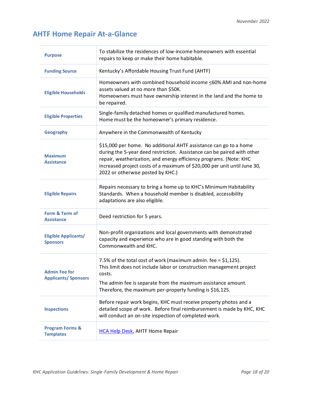# <span id="page-17-0"></span>**AHTF Home Repair At-a-Glance**

<span id="page-17-1"></span>

| <b>Purpose</b>                                     | To stabilize the residences of low-income homeowners with essential<br>repairs to keep or make their home habitable.                                                                                                                                                                                                                |
|----------------------------------------------------|-------------------------------------------------------------------------------------------------------------------------------------------------------------------------------------------------------------------------------------------------------------------------------------------------------------------------------------|
| <b>Funding Source</b>                              | Kentucky's Affordable Housing Trust Fund (AHTF)                                                                                                                                                                                                                                                                                     |
| <b>Eligible Households</b>                         | Homeowners with combined household income <60% AMI and non-home<br>assets valued at no more than \$50K.<br>Homeowners must have ownership interest in the land and the home to<br>be repaired.                                                                                                                                      |
| <b>Eligible Properties</b>                         | Single-family detached homes or qualified manufactured homes.<br>Home must be the homeowner's primary residence.                                                                                                                                                                                                                    |
| Geography                                          | Anywhere in the Commonwealth of Kentucky                                                                                                                                                                                                                                                                                            |
| <b>Maximum</b><br><b>Assistance</b>                | \$15,000 per home. No additional AHTF assistance can go to a home<br>during the 5-year deed restriction. Assistance can be paired with other<br>repair, weatherization, and energy efficiency programs. (Note: KHC<br>increased project costs of a maximum of \$20,000 per unit until June 30,<br>2022 or otherwise posted by KHC.) |
| <b>Eligible Repairs</b>                            | Repairs necessary to bring a home up to KHC's Minimum Habitability<br>Standards. When a household member is disabled, accessibility<br>adaptations are also eligible.                                                                                                                                                               |
| Form & Term of<br><b>Assistance</b>                | Deed restriction for 5 years.                                                                                                                                                                                                                                                                                                       |
| <b>Eligible Applicants/</b><br><b>Sponsors</b>     | Non-profit organizations and local governments with demonstrated<br>capacity and experience who are in good standing with both the<br>Commonwealth and KHC.                                                                                                                                                                         |
| <b>Admin Fee for</b><br><b>Applicants/Sponsors</b> | 7.5% of the total cost of work (maximum admin. fee = $$1,125$ ).<br>This limit does not include labor or construction management project<br>costs.<br>The admin fee is separate from the maximum assistance amount.<br>Therefore, the maximum per-property funding is \$16,125.                                                     |
|                                                    | Before repair work begins, KHC must receive property photos and a                                                                                                                                                                                                                                                                   |
| <b>Inspections</b>                                 | detailed scope of work. Before final reimbursement is made by KHC, KHC<br>will conduct an on-site inspection of completed work.                                                                                                                                                                                                     |
| <b>Program Forms &amp;</b><br><b>Templates</b>     | <b>HCA Help Desk, AHTF Home Repair</b>                                                                                                                                                                                                                                                                                              |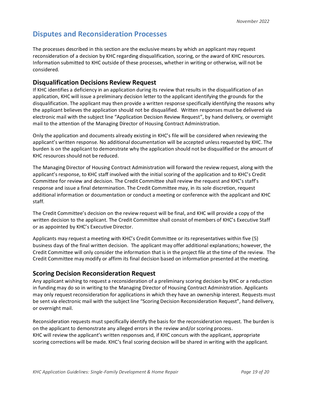## **Disputes and Reconsideration Processes**

The processes described in this section are the exclusive means by which an applicant may request reconsideration of a decision by KHC regarding disqualification, scoring, or the award of KHC resources. Information submitted to KHC outside of these processes, whether in writing or otherwise, will not be considered.

#### **Disqualification Decisions Review Request**

If KHC identifies a deficiency in an application during its review that results in the disqualification of an application, KHC will issue a preliminary decision letter to the applicant identifying the grounds for the disqualification. The applicant may then provide a written response specifically identifying the reasons why the applicant believes the application should not be disqualified. Written responses must be delivered via electronic mail with the subject line "Application Decision Review Request", by hand delivery, or overnight mail to the attention of the Managing Director of Housing Contract Administration.

Only the application and documents already existing in KHC's file will be considered when reviewing the applicant's written response. No additional documentation will be accepted unless requested by KHC. The burden is on the applicant to demonstrate why the application should not be disqualified or the amount of KHC resources should not be reduced.

The Managing Director of Housing Contract Administration will forward the review request, along with the applicant's response, to KHC staff involved with the initial scoring of the application and to KHC's Credit Committee for review and decision. The Credit Committee shall review the request and KHC's staff's response and issue a final determination. The Credit Committee may, in its sole discretion, request additional information or documentation or conduct a meeting or conference with the applicant and KHC staff.

The Credit Committee's decision on the review request will be final, and KHC will provide a copy of the written decision to the applicant. The Credit Committee shall consist of members of KHC's Executive Staff or as appointed by KHC's Executive Director.

Applicants may request a meeting with KHC's Credit Committee or its representatives within five (5) business days of the final written decision. The applicant may offer additional explanations; however, the Credit Committee will only consider the information that is in the project file at the time of the review. The Credit Committee may modify or affirm its final decision based on information presented at the meeting.

#### **Scoring Decision Reconsideration Request**

Any applicant wishing to request a reconsideration of a preliminary scoring decision by KHC or a reduction in funding may do so in writing to the Managing Director of Housing Contract Administration. Applicants may only request reconsideration for applications in which they have an ownership interest. Requests must be sent via electronic mail with the subject line "Scoring Decision Reconsideration Request", hand delivery, or overnight mail.

Reconsideration requests must specifically identify the basis for the reconsideration request. The burden is on the applicant to demonstrate any alleged errors in the review and/or scoring process. KHC will review the applicant's written responses and, if KHC concurs with the applicant, appropriate scoring corrections will be made. KHC's final scoring decision will be shared in writing with the applicant.